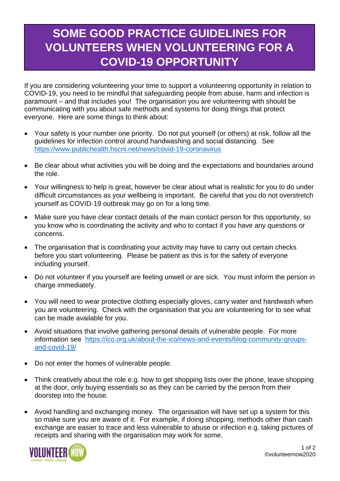## **SOME GOOD PRACTICE GUIDELINES FOR VOLUNTEERS WHEN VOLUNTEERING FOR A COVID-19 OPPORTUNITY**

If you are considering volunteering your time to support a volunteering opportunity in relation to COVID-19, you need to be mindful that safeguarding people from abuse, harm and infection is paramount – and that includes you! The organisation you are volunteering with should be communicating with you about safe methods and systems for doing things that protect everyone. Here are some things to think about:

- Your safety is your number one priority. Do not put yourself (or others) at risk, follow all the guidelines for infection control around handwashing and social distancing. See <https://www.publichealth.hscni.net/news/covid-19-coronavirus>
- Be clear about what activities you will be doing and the expectations and boundaries around the role.
- Your willingness to help is great, however be clear about what is realistic for you to do under difficult circumstances as your wellbeing is important. Be careful that you do not overstretch yourself as COVID-19 outbreak may go on for a long time.
- Make sure you have clear contact details of the main contact person for this opportunity, so you know who is coordinating the activity and who to contact if you have any questions or concerns.
- The organisation that is coordinating your activity may have to carry out certain checks before you start volunteering. Please be patient as this is for the safety of everyone including yourself.
- Do not volunteer if you yourself are feeling unwell or are sick. You must inform the person in charge immediately.
- You will need to wear protective clothing especially gloves, carry water and handwash when you are volunteering. Check with the organisation that you are volunteering for to see what can be made available for you.
- Avoid situations that involve gathering personal details of vulnerable people. For more information see [https://ico.org.uk/about-the-ico/news-and-events/blog-community-groups](https://ico.org.uk/about-the-ico/news-and-events/blog-community-groups-and-covid-19/)[and-covid-19/](https://ico.org.uk/about-the-ico/news-and-events/blog-community-groups-and-covid-19/)
- Do not enter the homes of vulnerable people.
- Think creatively about the role e.g. how to get shopping lists over the phone, leave shopping at the door, only buying essentials so as they can be carried by the person from their doorstep into the house.
- Avoid handling and exchanging money. The organisation will have set up a system for this so make sure you are aware of it. For example, if doing shopping, methods other than cash exchange are easier to trace and less vulnerable to abuse or infection e.g. taking pictures of receipts and sharing with the organisation may work for some.